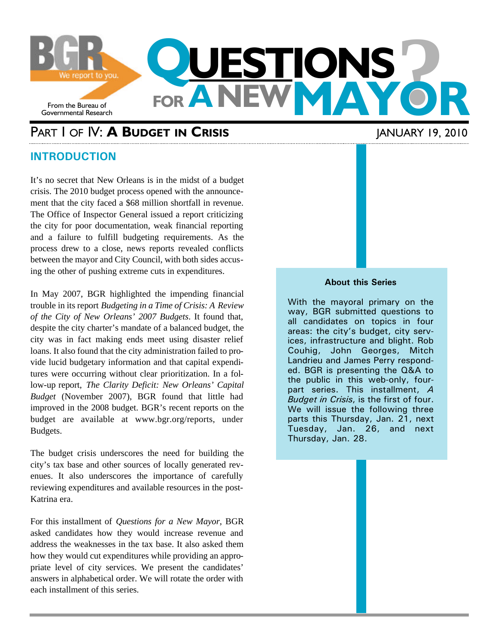

## PART I OF IV: **A BUDGET IN CRISIS** JANUARY 19, 2010

### **INTRODUCTION**

It's no secret that New Orleans is in the midst of a budget crisis. The 2010 budget process opened with the announcement that the city faced a \$68 million shortfall in revenue. The Office of Inspector General issued a report criticizing the city for poor documentation, weak financial reporting and a failure to fulfill budgeting requirements. As the process drew to a close, news reports revealed conflicts between the mayor and City Council, with both sides accusing the other of pushing extreme cuts in expenditures.

In May 2007, BGR highlighted the impending financial trouble in its report *Budgeting in a Time of Crisis: A Review of the City of New Orleans' 2007 Budgets*. It found that, despite the city charter's mandate of a balanced budget, the city was in fact making ends meet using disaster relief loans. It also found that the city administration failed to provide lucid budgetary information and that capital expenditures were occurring without clear prioritization. In a follow-up report, *The Clarity Deficit: New Orleans' Capital Budget* (November 2007), BGR found that little had improved in the 2008 budget. BGR's recent reports on the budget are available at www.bgr.org/reports, under Budgets.

The budget crisis underscores the need for building the city's tax base and other sources of locally generated revenues. It also underscores the importance of carefully reviewing expenditures and available resources in the post-Katrina era.

For this installment of *Questions for a New Mayor*, BGR asked candidates how they would increase revenue and address the weaknesses in the tax base. It also asked them how they would cut expenditures while providing an appropriate level of city services. We present the candidates' answers in alphabetical order. We will rotate the order with each installment of this series.

#### **About this Series**

With the mayoral primary on the way, BGR submitted questions to all candidates on topics in four areas: the city's budget, city services, infrastructure and blight. Rob Couhig, John Georges, Mitch Landrieu and James Perry responded. BGR is presenting the Q&A to the public in this web-only, fourpart series. This installment, *A Budget in Crisis*, is the first of four. We will issue the following three parts this Thursday, Jan. 21, next Tuesday, Jan. 26, and next Thursday, Jan. 28.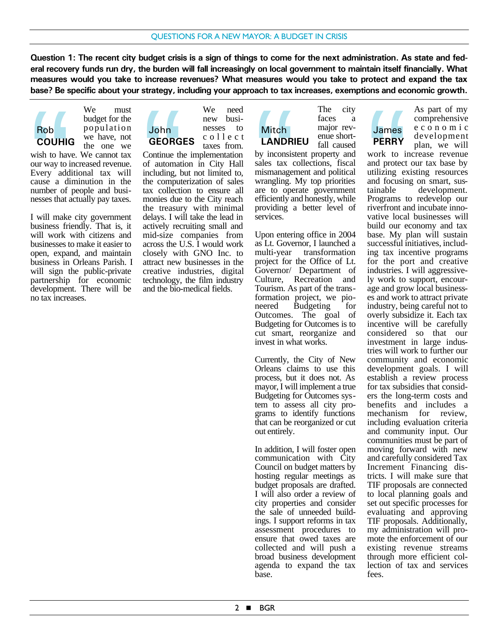**Question 1: The recent city budget crisis is a sign of things to come for the next administration. As state and federal recovery funds run dry, the burden will fall increasingly on local government to maintain itself financially. What measures would you take to increase revenues? What measures would you take to protect and expand the tax base? Be specific about your strategy, including your approach to tax increases, exemptions and economic growth.**



We must budget for the population we have, not the one we

wish to have. We cannot tax our way to increased revenue. Every additional tax will cause a diminution in the number of people and businesses that actually pay taxes. Rob<br>
COUHIC<br>
wish to have our way to if<br>
Every add<br>
cause a dinumber of<br>
nesses that a<br>
L will make

I will make city government business friendly. That is, it will work with citizens and businesses to make it easier to open, expand, and maintain business in Orleans Parish. I will sign the public-private partnership for economic development. There will be no tax increases.

We need new businesses to collect taxes from. John **GEORGES**

Continue the implementation of automation in City Hall including, but not limited to, the computerization of sales tax collection to ensure all monies due to the City reach the treasury with minimal delays. I will take the lead in actively recruiting small and mid-size companies from across the U.S. I would work closely with GNO Inc. to attract new businesses in the creative industries, digital technology, the film industry and the bio-medical fields. John<br>
GEORG<br>
Continue the<br>
of automatic including, b<br>
the comput<br>
tax collection<br>
the treasur<br>
the treasur<br>
delays I will

The city faces a major revenue shortfall caused **Mitch LANDRIEU**

by inconsistent property and sales tax collections, fiscal mismanagement and political wrangling. My top priorities are to operate government efficiently and honestly, while providing a better level of services. Mitch<br> **LANDRI**<br>
by inconsis<br>
sales tax c<br>
mismanager<br>
wrangling<br>
are to ope<br>
efficiently a<br>
providing a<br>
services

Upon entering office in 2004 as Lt. Governor, I launched a multi-year transformation project for the Office of Lt. Governor/ Department of Culture, Recreation and Tourism. As part of the transformation project, we pioneered Budgeting for Outcomes. The goal of Budgeting for Outcomes is to cut smart, reorganize and invest in what works.

Currently, the City of New Orleans claims to use this process, but it does not. As mayor, I will implement a true Budgeting for Outcomes system to assess all city programs to identify functions that can be reorganized or cut out entirely.

In addition, I will foster open communication with City Council on budget matters by hosting regular meetings as budget proposals are drafted. I will also order a review of city properties and consider the sale of unneeded buildings. I support reforms in tax assessment procedures to ensure that owed taxes are collected and will push a broad business development agenda to expand the tax base.

# James **PERRY**

As part of my comprehensive economic development plan, we will

work to increase revenue and protect our tax base by utilizing existing resources and focusing on smart, sustainable development. Programs to redevelop our riverfront and incubate innovative local businesses will build our economy and tax base. My plan will sustain successful initiatives, including tax incentive programs for the port and creative industries. I will aggressively work to support, encourage and grow local businesses and work to attract private industry, being careful not to overly subsidize it. Each tax incentive will be carefully considered so that our investment in large industries will work to further our community and economic development goals. I will establish a review process for tax subsidies that considers the long-term costs and benefits and includes a mechanism for review, including evaluation criteria and community input. Our communities must be part of moving forward with new and carefully considered Tax Increment Financing districts. I will make sure that TIF proposals are connected to local planning goals and set out specific processes for evaluating and approving TIF proposals. Additionally, my administration will promote the enforcement of our existing revenue streams through more efficient collection of tax and services fees. James<br>
PERRY<br>
work to in<br>
and protect<br>
utilizing example Programs<br>
riverfront and<br>
vative local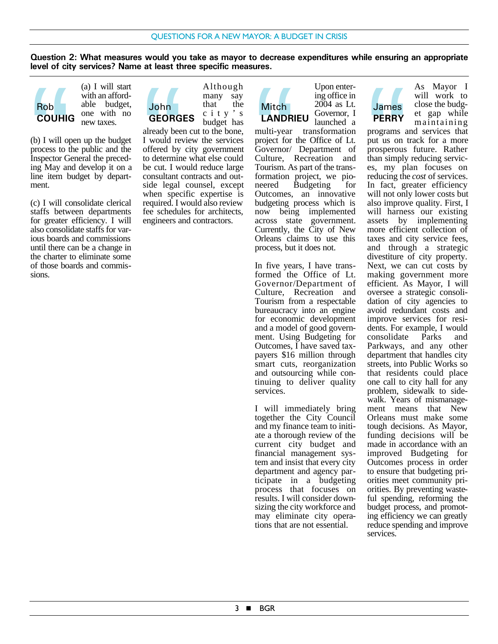**Question 2: What measures would you take as mayor to decrease expenditures while ensuring an appropriate level of city services? Name at least three specific measures.**



(a) I will start with an affordable budget, one with no new taxes.

(b) I will open up the budget process to the public and the Inspector General the preceding May and develop it on a line item budget by department. **Rob**<br> **COUHIC**<br>
(b) I will op<br>
process to t<br>
Inspector G<br>
ing May an<br>
line item b<br>
ment.

(c) I will consolidate clerical staffs between departments for greater efficiency. I will also consolidate staffs for various boards and commissions until there can be a change in the charter to eliminate some of those boards and commissions.



already been cut to the bone, I would review the services offered by city government to determine what else could be cut. I would reduce large consultant contracts and outside legal counsel, except when specific expertise is required. I would also review fee schedules for architects, engineers and contractors. John<br>GEORG<br>already bee<br>I would rev<br>offered by<br>to determine<br>be cut. I would be explored<br>side legal<br>when spec

Upon entering office in 2004 as Lt. Governor, I **Mitch LANDRIEU**

launched a multi-year transformation project for the Office of Lt. Governor/ Department of Culture, Recreation and Tourism. As part of the transformation project, we pioneered Budgeting for Outcomes, an innovative budgeting process which is now being implemented across state government. Currently, the City of New Orleans claims to use this process, but it does not. Mitch<br> **LANDR**<br>
multi-year<br>
project for<br>
Governor/<br>
Culture, lourism.<br>
As formation<br>
neered lourismes

In five years, I have transformed the Office of Lt. Governor/Department of Culture, Recreation and Tourism from a respectable bureaucracy into an engine for economic development and a model of good government. Using Budgeting for Outcomes, I have saved taxpayers \$16 million through smart cuts, reorganization and outsourcing while continuing to deliver quality services.

I will immediately bring together the City Council and my finance team to initiate a thorough review of the current city budget and financial management system and insist that every city department and agency participate in a budgeting process that focuses on results. I will consider downsizing the city workforce and may eliminate city operations that are not essential.

James **PERRY**

As Mayor I will work to close the budget gap while maintaining

programs and services that put us on track for a more prosperous future. Rather than simply reducing services, my plan focuses on reducing the *cost* of services. In fact, greater efficiency will not only lower costs but also improve quality. First, I will harness our existing assets by implementing more efficient collection of taxes and city service fees, and through a strategic divestiture of city property. Next, we can cut costs by making government more efficient. As Mayor, I will oversee a strategic consolidation of city agencies to avoid redundant costs and improve services for residents. For example, I would consolidate Parks and Parkways, and any other department that handles city streets, into Public Works so that residents could place one call to city hall for any problem, sidewalk to sidewalk. Years of mismanagement means that New Orleans must make some tough decisions. As Mayor, funding decisions will be made in accordance with an improved Budgeting for Outcomes process in order to ensure that budgeting priorities meet community priorities. By preventing wasteful spending, reforming the budget process, and promoting efficiency we can greatly reduce spending and improve services. James<br>
PERRY<br>
programs a<br>
put us on 1<br>
prosperous<br>
than simply<br>
reducing the<br>
In fact, gn<br>
will not only